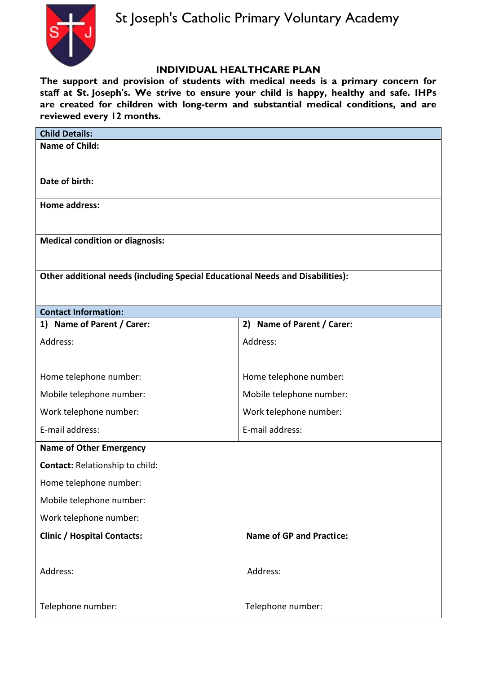# **INDIVIDUAL HEALTHCARE PLAN**

**The support and provision of students with medical needs is a primary concern for staff at St. Joseph's. We strive to ensure your child is happy, healthy and safe. IHPs are created for children with long-term and substantial medical conditions, and are reviewed every 12 months.** 

| <b>Child Details:</b>                                                          |                                 |  |
|--------------------------------------------------------------------------------|---------------------------------|--|
| <b>Name of Child:</b>                                                          |                                 |  |
|                                                                                |                                 |  |
| Date of birth:                                                                 |                                 |  |
| <b>Home address:</b>                                                           |                                 |  |
|                                                                                |                                 |  |
| <b>Medical condition or diagnosis:</b>                                         |                                 |  |
|                                                                                |                                 |  |
|                                                                                |                                 |  |
| Other additional needs (including Special Educational Needs and Disabilities): |                                 |  |
|                                                                                |                                 |  |
| <b>Contact Information:</b>                                                    |                                 |  |
| 1) Name of Parent / Carer:                                                     | 2) Name of Parent / Carer:      |  |
| Address:                                                                       | Address:                        |  |
|                                                                                |                                 |  |
| Home telephone number:                                                         | Home telephone number:          |  |
| Mobile telephone number:                                                       | Mobile telephone number:        |  |
| Work telephone number:                                                         | Work telephone number:          |  |
| E-mail address:                                                                | E-mail address:                 |  |
| <b>Name of Other Emergency</b>                                                 |                                 |  |
| Contact: Relationship to child:                                                |                                 |  |
| Home telephone number:                                                         |                                 |  |
| Mobile telephone number:                                                       |                                 |  |
| Work telephone number:                                                         |                                 |  |
| <b>Clinic / Hospital Contacts:</b>                                             | <b>Name of GP and Practice:</b> |  |
|                                                                                |                                 |  |
| Address:                                                                       | Address:                        |  |
|                                                                                |                                 |  |
| Telephone number:                                                              | Telephone number:               |  |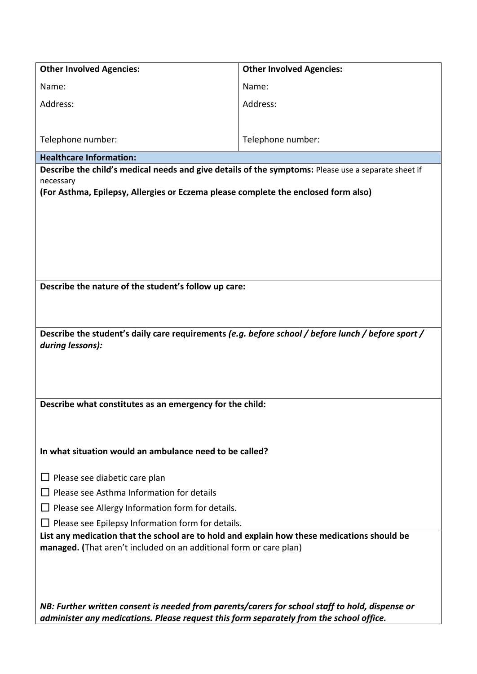| <b>Other Involved Agencies:</b>                                                                                                                                                            | <b>Other Involved Agencies:</b> |  |
|--------------------------------------------------------------------------------------------------------------------------------------------------------------------------------------------|---------------------------------|--|
| Name:                                                                                                                                                                                      | Name:                           |  |
| Address:                                                                                                                                                                                   | Address:                        |  |
|                                                                                                                                                                                            |                                 |  |
| Telephone number:                                                                                                                                                                          | Telephone number:               |  |
| <b>Healthcare Information:</b>                                                                                                                                                             |                                 |  |
| Describe the child's medical needs and give details of the symptoms: Please use a separate sheet if                                                                                        |                                 |  |
| necessary<br>(For Asthma, Epilepsy, Allergies or Eczema please complete the enclosed form also)                                                                                            |                                 |  |
|                                                                                                                                                                                            |                                 |  |
|                                                                                                                                                                                            |                                 |  |
|                                                                                                                                                                                            |                                 |  |
|                                                                                                                                                                                            |                                 |  |
|                                                                                                                                                                                            |                                 |  |
| Describe the nature of the student's follow up care:                                                                                                                                       |                                 |  |
|                                                                                                                                                                                            |                                 |  |
|                                                                                                                                                                                            |                                 |  |
|                                                                                                                                                                                            |                                 |  |
| Describe the student's daily care requirements (e.g. before school / before lunch / before sport /<br>during lessons):                                                                     |                                 |  |
|                                                                                                                                                                                            |                                 |  |
|                                                                                                                                                                                            |                                 |  |
|                                                                                                                                                                                            |                                 |  |
| Describe what constitutes as an emergency for the child:                                                                                                                                   |                                 |  |
|                                                                                                                                                                                            |                                 |  |
|                                                                                                                                                                                            |                                 |  |
| In what situation would an ambulance need to be called?                                                                                                                                    |                                 |  |
|                                                                                                                                                                                            |                                 |  |
| $\Box$ Please see diabetic care plan                                                                                                                                                       |                                 |  |
| Please see Asthma Information for details                                                                                                                                                  |                                 |  |
| Please see Allergy Information form for details.                                                                                                                                           |                                 |  |
| Please see Epilepsy Information form for details.                                                                                                                                          |                                 |  |
| List any medication that the school are to hold and explain how these medications should be                                                                                                |                                 |  |
| managed. (That aren't included on an additional form or care plan)                                                                                                                         |                                 |  |
|                                                                                                                                                                                            |                                 |  |
|                                                                                                                                                                                            |                                 |  |
|                                                                                                                                                                                            |                                 |  |
| NB: Further written consent is needed from parents/carers for school staff to hold, dispense or<br>administer any medications. Please request this form separately from the school office. |                                 |  |
|                                                                                                                                                                                            |                                 |  |